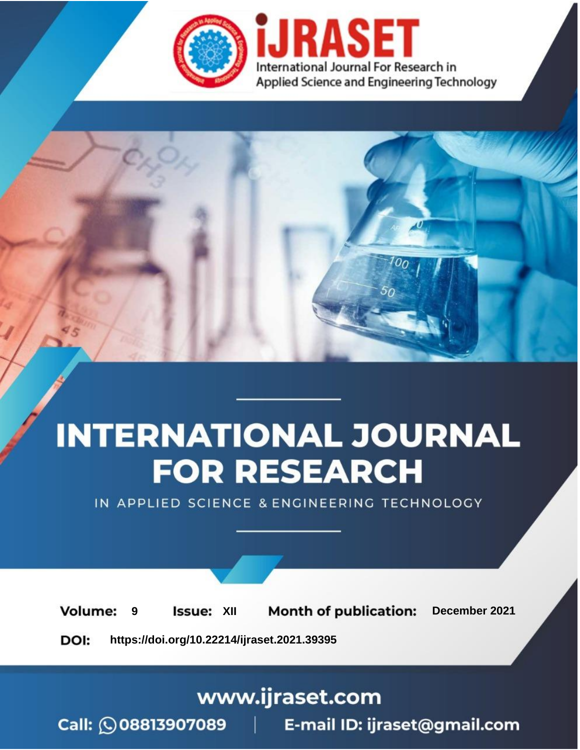



IN APPLIED SCIENCE & ENGINEERING TECHNOLOGY

**9 Issue:** XII **Month of publication:** December 2021 **Volume: https://doi.org/10.22214/ijraset.2021.39395**DOI:

www.ijraset.com

Call: 008813907089 | E-mail ID: ijraset@gmail.com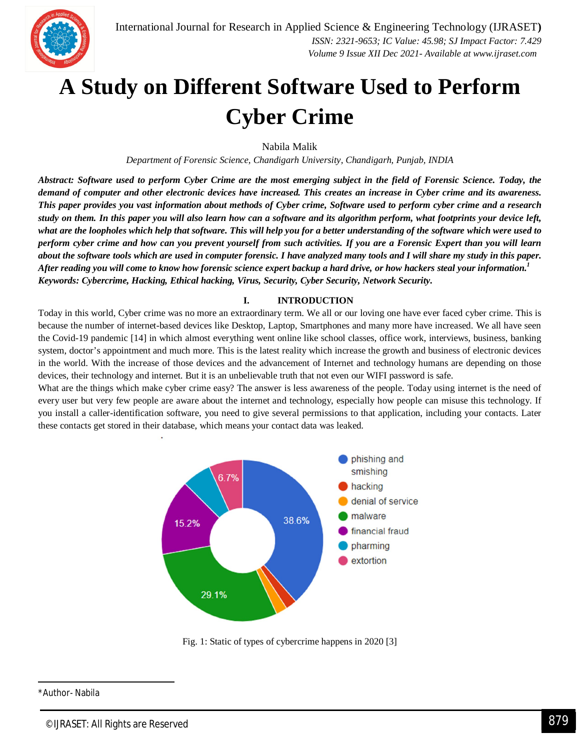# **A Study on Different Software Used to Perform Cyber Crime**

Nabila Malik

*Department of Forensic Science, Chandigarh University, Chandigarh, Punjab, INDIA*

*Abstract: Software used to perform Cyber Crime are the most emerging subject in the field of Forensic Science. Today, the demand of computer and other electronic devices have increased. This creates an increase in Cyber crime and its awareness. This paper provides you vast information about methods of Cyber crime, Software used to perform cyber crime and a research study on them. In this paper you will also learn how can a software and its algorithm perform, what footprints your device left, what are the loopholes which help that software. This will help you for a better understanding of the software which were used to perform cyber crime and how can you prevent yourself from such activities. If you are a Forensic Expert than you will learn about the software tools which are used in computer forensic. I have analyzed many tools and I will share my study in this paper. After reading you will come to know how forensic science expert backup a hard drive, or how hackers steal your information.<sup>1</sup> Keywords: Cybercrime, Hacking, Ethical hacking, Virus, Security, Cyber Security, Network Security.*

#### **I. INTRODUCTION**

Today in this world, Cyber crime was no more an extraordinary term. We all or our loving one have ever faced cyber crime. This is because the number of internet-based devices like Desktop, Laptop, Smartphones and many more have increased. We all have seen the Covid-19 pandemic [14] in which almost everything went online like school classes, office work, interviews, business, banking system, doctor's appointment and much more. This is the latest reality which increase the growth and business of electronic devices in the world. With the increase of those devices and the advancement of Internet and technology humans are depending on those devices, their technology and internet. But it is an unbelievable truth that not even our WIFI password is safe.

What are the things which make cyber crime easy? The answer is less awareness of the people. Today using internet is the need of every user but very few people are aware about the internet and technology, especially how people can misuse this technology. If you install a caller-identification software, you need to give several permissions to that application, including your contacts. Later these contacts get stored in their database, which means your contact data was leaked.



Fig. 1: Static of types of cybercrime happens in 2020 [3]

<sup>-</sup>\*Author- Nabila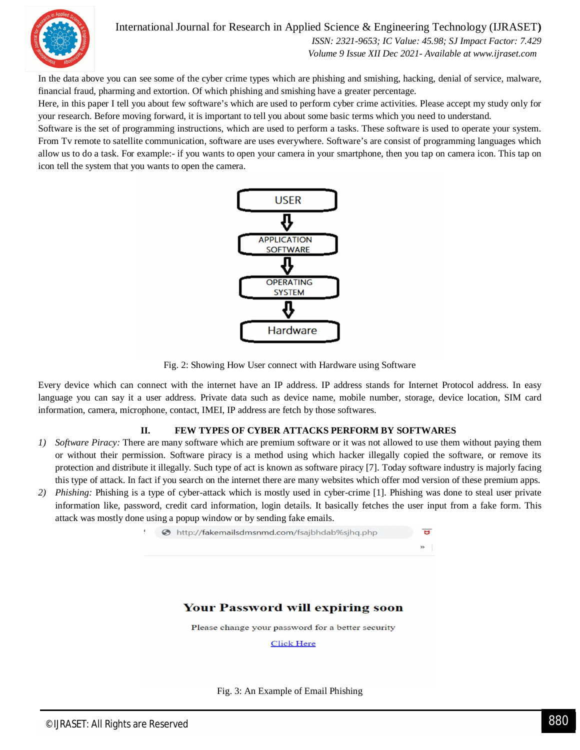

## International Journal for Research in Applied Science & Engineering Technology (IJRASET**)**

 *ISSN: 2321-9653; IC Value: 45.98; SJ Impact Factor: 7.429 Volume 9 Issue XII Dec 2021- Available at www.ijraset.com*

In the data above you can see some of the cyber crime types which are phishing and smishing, hacking, denial of service, malware, financial fraud, pharming and extortion. Of which phishing and smishing have a greater percentage.

Here, in this paper I tell you about few software's which are used to perform cyber crime activities. Please accept my study only for your research. Before moving forward, it is important to tell you about some basic terms which you need to understand.

Software is the set of programming instructions, which are used to perform a tasks. These software is used to operate your system. From Tv remote to satellite communication, software are uses everywhere. Software's are consist of programming languages which allow us to do a task. For example:- if you wants to open your camera in your smartphone, then you tap on camera icon. This tap on icon tell the system that you wants to open the camera.



Fig. 2: Showing How User connect with Hardware using Software

Every device which can connect with the internet have an IP address. IP address stands for Internet Protocol address. In easy language you can say it a user address. Private data such as device name, mobile number, storage, device location, SIM card information, camera, microphone, contact, IMEI, IP address are fetch by those softwares.

#### **II. FEW TYPES OF CYBER ATTACKS PERFORM BY SOFTWARES**

- *1) Software Piracy:* There are many software which are premium software or it was not allowed to use them without paying them or without their permission. Software piracy is a method using which hacker illegally copied the software, or remove its protection and distribute it illegally. Such type of act is known as software piracy [7]. Today software industry is majorly facing this type of attack. In fact if you search on the internet there are many websites which offer mod version of these premium apps.
- *2) Phishing:* Phishing is a type of cyber-attack which is mostly used in cyber-crime [1]. Phishing was done to steal user private information like, password, credit card information, login details. It basically fetches the user input from a fake form. This attack was mostly done using a popup window or by sending fake emails.



### **Your Password will expiring soon**

Please change your password for a better security

**Click Here** 

#### Fig. 3: An Example of Email Phishing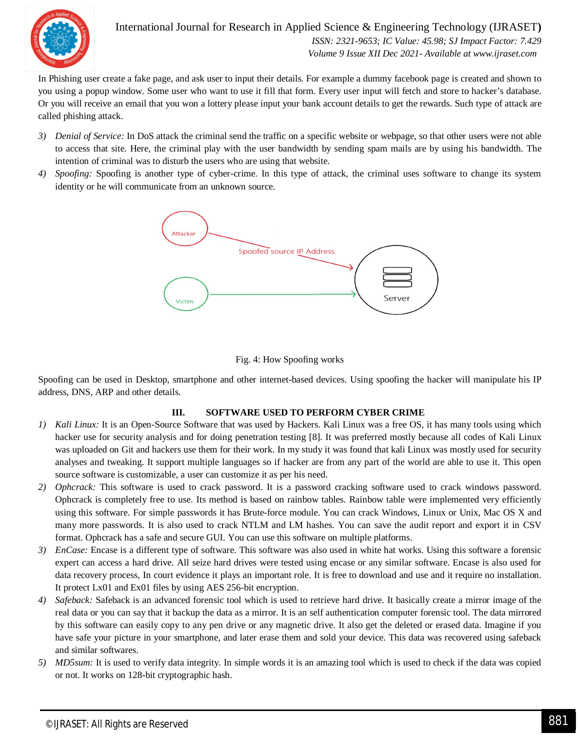

International Journal for Research in Applied Science & Engineering Technology (IJRASET**)**  *ISSN: 2321-9653; IC Value: 45.98; SJ Impact Factor: 7.429 Volume 9 Issue XII Dec 2021- Available at www.ijraset.com*

In Phishing user create a fake page, and ask user to input their details. For example a dummy facebook page is created and shown to you using a popup window. Some user who want to use it fill that form. Every user input will fetch and store to hacker's database. Or you will receive an email that you won a lottery please input your bank account details to get the rewards. Such type of attack are called phishing attack.

- *3) Denial of Service:* In DoS attack the criminal send the traffic on a specific website or webpage, so that other users were not able to access that site. Here, the criminal play with the user bandwidth by sending spam mails are by using his bandwidth. The intention of criminal was to disturb the users who are using that website.
- *4) Spoofing:* Spoofing is another type of cyber-crime. In this type of attack, the criminal uses software to change its system identity or he will communicate from an unknown source.



#### Fig. 4: How Spoofing works

Spoofing can be used in Desktop, smartphone and other internet-based devices. Using spoofing the hacker will manipulate his IP address, DNS, ARP and other details.

#### **III. SOFTWARE USED TO PERFORM CYBER CRIME**

- *1) Kali Linux:* It is an Open-Source Software that was used by Hackers. Kali Linux was a free OS, it has many tools using which hacker use for security analysis and for doing penetration testing [8]. It was preferred mostly because all codes of Kali Linux was uploaded on Git and hackers use them for their work. In my study it was found that kali Linux was mostly used for security analyses and tweaking. It support multiple languages so if hacker are from any part of the world are able to use it. This open source software is customizable, a user can customize it as per his need.
- *2) Ophcrack:* This software is used to crack password. It is a password cracking software used to crack windows password. Ophcrack is completely free to use. Its method is based on rainbow tables. Rainbow table were implemented very efficiently using this software. For simple passwords it has Brute-force module. You can crack Windows, Linux or Unix, Mac OS X and many more passwords. It is also used to crack NTLM and LM hashes. You can save the audit report and export it in CSV format. Ophcrack has a safe and secure GUI. You can use this software on multiple platforms.
- *3) EnCase:* Encase is a different type of software. This software was also used in white hat works. Using this software a forensic expert can access a hard drive. All seize hard drives were tested using encase or any similar software. Encase is also used for data recovery process, In court evidence it plays an important role. It is free to download and use and it require no installation. It protect Lx01 and Ex01 files by using AES 256-bit encryption.
- *4) Safeback:* Safeback is an advanced forensic tool which is used to retrieve hard drive. It basically create a mirror image of the real data or you can say that it backup the data as a mirror. It is an self authentication computer forensic tool. The data mirrored by this software can easily copy to any pen drive or any magnetic drive. It also get the deleted or erased data. Imagine if you have safe your picture in your smartphone, and later erase them and sold your device. This data was recovered using safeback and similar softwares.
- *5) MD5sum:* It is used to verify data integrity. In simple words it is an amazing tool which is used to check if the data was copied or not. It works on 128-bit cryptographic hash.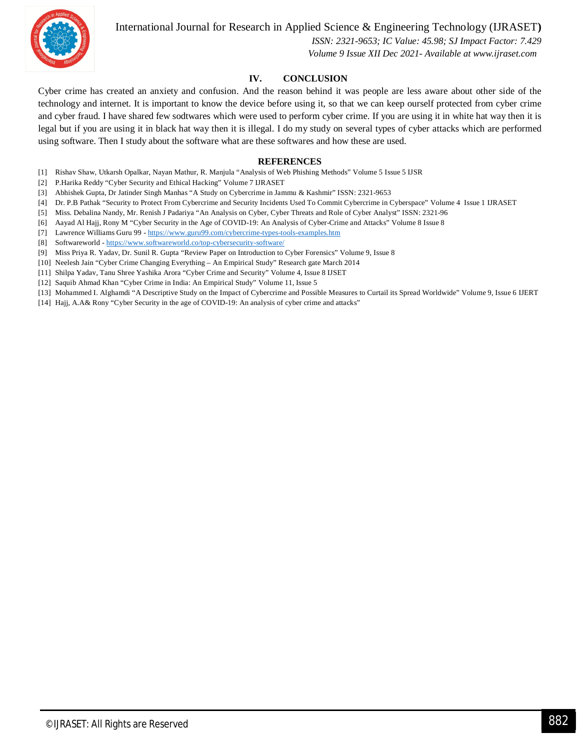

International Journal for Research in Applied Science & Engineering Technology (IJRASET**)**

 *ISSN: 2321-9653; IC Value: 45.98; SJ Impact Factor: 7.429 Volume 9 Issue XII Dec 2021- Available at www.ijraset.com*

#### **IV. CONCLUSION**

Cyber crime has created an anxiety and confusion. And the reason behind it was people are less aware about other side of the technology and internet. It is important to know the device before using it, so that we can keep ourself protected from cyber crime and cyber fraud. I have shared few sodtwares which were used to perform cyber crime. If you are using it in white hat way then it is legal but if you are using it in black hat way then it is illegal. I do my study on several types of cyber attacks which are performed using software. Then I study about the software what are these softwares and how these are used.

#### **REFERENCES**

- [1] Rishav Shaw, Utkarsh Opalkar, Nayan Mathur, R. Manjula "Analysis of Web Phishing Methods" Volume 5 Issue 5 IJSR
- [2] P.Harika Reddy "Cyber Security and Ethical Hacking" Volume 7 IJRASET
- [3] Abhishek Gupta, Dr Jatinder Singh Manhas "A Study on Cybercrime in Jammu & Kashmir" ISSN: 2321-9653
- [4] Dr. P.B Pathak "Security to Protect From Cybercrime and Security Incidents Used To Commit Cybercrime in Cyberspace" Volume 4 Issue 1 IJRASET
- [5] Miss. Debalina Nandy, Mr. Renish J Padariya "An Analysis on Cyber, Cyber Threats and Role of Cyber Analyst" ISSN: 2321-96
- [6] Aayad Al Hajj, Rony M "Cyber Security in the Age of COVID-19: An Analysis of Cyber-Crime and Attacks" Volume 8 Issue 8
- [7] Lawrence Williams Guru 99 https://www.guru99.com/cybercrime-types-tools-examples.htm
- [8] Softwareworld https://www.softwareworld.co/top-cybersecurity-software/
- [9] Miss Priya R. Yadav, Dr. Sunil R. Gupta "Review Paper on Introduction to Cyber Forensics" Volume 9, Issue 8
- [10] Neelesh Jain "Cyber Crime Changing Everything An Empirical Study" Research gate March 2014
- [11] Shilpa Yadav, Tanu Shree Yashika Arora "Cyber Crime and Security" Volume 4, Issue 8 IJSET
- [12] Saquib Ahmad Khan "Cyber Crime in India: An Empirical Study" Volume 11, Issue 5
- [13] Mohammed I. Alghamdi "A Descriptive Study on the Impact of Cybercrime and Possible Measures to Curtail its Spread Worldwide" Volume 9, Issue 6 IJERT
- [14] Hajj, A.A& Rony "Cyber Security in the age of COVID-19: An analysis of cyber crime and attacks"